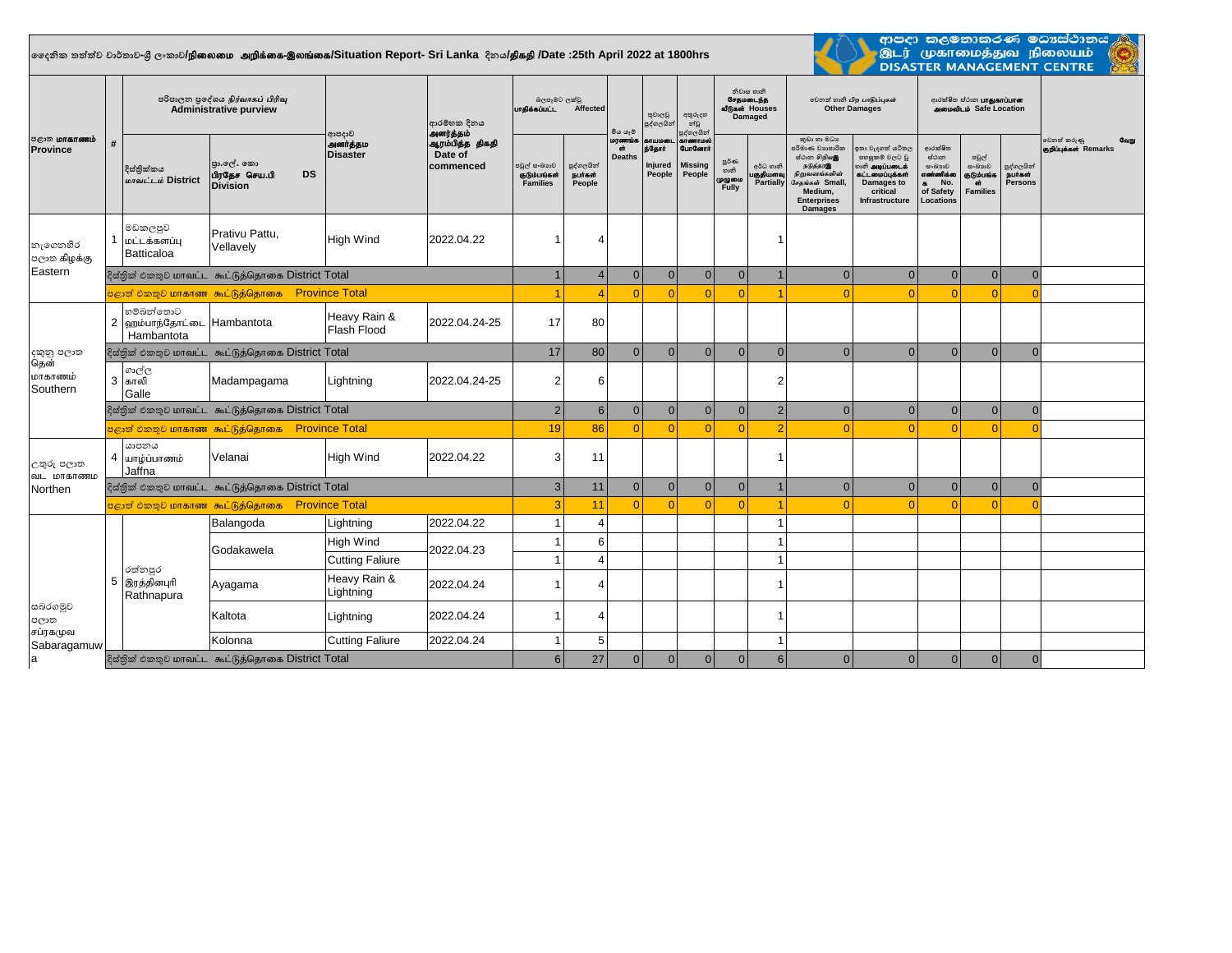## **දදනික තත්ත්ව වාර්තාව-ශ්රී ලංකාව/**epiyik mwpf;if-,yq;if**/Situation Report- Sri Lanka දිනය/**jpfjp **/Date :25th April 2022 at 1800hrs**



ආපදා කලමනාකරණ මධාශ්ථානය <mark>/</mark> ் இடர் முகாமைத்துவ நிலையம்<br>இடர் முகாமைத்துவ நிலையம்<br>DISASTER MANAGEMENT CENTRE

| <b>ு</b> காணம்<br><b>Province</b>               | $\boldsymbol{\mu}$ | පරිපාලන පුදේශය நிர்வாகப் பிரிவு<br><b>Administrative purview</b> |                                                              |                                      | ආරම්භක දිනය                                          | බලපෑමට ලක්වු<br>பாகிக்கப்பட்ட<br>Affected       |                                    | මිය යෑම                       | තුවාලවු<br>පුද්ගලයින්                        | අතුරුදහ<br>න්වූ<br>පුද්ගලයින්                          | නිවාස හානි<br><b>GraucoLns</b><br>வீடுகள் Houses<br>Damaged |                                     | லிறை வேகி பிற பாதிப்புகள்<br><b>Other Damages</b>                                                                                                  |                                                                                                                          | ආරක්ෂිත ස්ථාන <b>பாதுகாப்பான</b><br><b>ANGIOR OF SAFE LOCATION</b>                    |                                                                |                                               |                                                      |
|-------------------------------------------------|--------------------|------------------------------------------------------------------|--------------------------------------------------------------|--------------------------------------|------------------------------------------------------|-------------------------------------------------|------------------------------------|-------------------------------|----------------------------------------------|--------------------------------------------------------|-------------------------------------------------------------|-------------------------------------|----------------------------------------------------------------------------------------------------------------------------------------------------|--------------------------------------------------------------------------------------------------------------------------|---------------------------------------------------------------------------------------|----------------------------------------------------------------|-----------------------------------------------|------------------------------------------------------|
|                                                 |                    | දිස්තික්කය<br>மாவட்டம் District                                  | පුා.ලල්. කො<br>பிரதேச செய.பி<br><b>DS</b><br><b>Division</b> | ආපදාව<br>அனர்த்தம<br><b>Disaster</b> | அனர்த்தம்<br>ஆரம்பித்த திகதி<br>Date of<br>commenced | පවුල් සංඛාගව<br>குடும்பங்கள்<br><b>Families</b> | පුද්ගලයින්<br>நபர்கள்<br>People    | மரணங்க<br>ள்<br><b>Deaths</b> | காயமடை<br><b>ந்தோர்</b><br>Injured<br>People | காணாமல்<br><b>GunGernt</b><br><b>Missing</b><br>People | జ్జరీతం<br>හානි<br>முழுமை<br>Fully                          | අර්ධ හානි<br>பகுதியளவு<br>Partially | කුඩා හා මධා<br>පරිමාණ වහපාරික<br>ස්ථාන ගිඹු ගැන<br>நடுத்தரஇ<br>நிறுவனங்களின்<br>சேகங்கள் Small.<br>Medium.<br><b>Enterprises</b><br><b>Damages</b> | කා වැදගත් යටිතල<br>පහසුකම් වලට වූ<br>ு கி அடிப்படைக்<br>.<br>பட்டமைப்புக்கள்<br>Damages to<br>critical<br>Infrastructure | ආරක්ෂිත<br>ස්ථාන<br>සංඛාගව<br>எண்ணிக்கை<br>No.<br>$\bullet$<br>of Safety<br>Locations | පවුල්<br>සංඛාගව<br>குடும்பங்க<br><b>off</b><br><b>Families</b> | පුද්ගලයින්<br><b>Bunach</b><br><b>Persons</b> | වෙනත් කරුණු<br><b>Coupe</b><br>குறிப்புக்கள் Remarks |
| නැගෙනහිර<br>පලාක கிழக்கு<br>Eastern             |                    | මඩකලපුව<br>மட்டக்களப்பு<br>Batticaloa                            | Prativu Pattu.<br>Vellavely                                  | <b>High Wind</b>                     | 2022.04.22                                           |                                                 | 4                                  |                               |                                              |                                                        |                                                             |                                     |                                                                                                                                                    |                                                                                                                          |                                                                                       |                                                                |                                               |                                                      |
|                                                 |                    | දිස්තික් එකතුව மாவட்ட கூட்டுத்தொகை District Total                |                                                              |                                      |                                                      |                                                 | $\overline{4}$                     | $\Omega$                      | $\mathbf{0}$                                 | $\mathbf{0}$                                           | $\mathbf{0}$                                                | $\mathbf{1}$                        | $\Omega$                                                                                                                                           | $\Omega$                                                                                                                 | $\mathbf{0}$                                                                          | $\mathbf{0}$                                                   | $\mathbf{0}$                                  |                                                      |
|                                                 |                    |                                                                  | <mark>்சூனி එකතුව மாகாண கூட்டுத்தொகை Province Total</mark>   |                                      |                                                      |                                                 | $\overline{\mathbf{A}}$            |                               | $\Omega$                                     | $\Omega$                                               |                                                             |                                     |                                                                                                                                                    |                                                                                                                          | $\Omega$                                                                              |                                                                | $\Omega$                                      |                                                      |
| දකුනු පලාත<br>தென்<br>மாகாணம்<br>Southern       |                    | හම්බන්තොට<br>2 ஹம்பாந்தோட்டை Hambantota<br>Hambantota            |                                                              | Heavy Rain &<br>Flash Flood          | 2022.04.24-25                                        | 17                                              | 80                                 |                               |                                              |                                                        |                                                             |                                     |                                                                                                                                                    |                                                                                                                          |                                                                                       |                                                                |                                               |                                                      |
|                                                 |                    |                                                                  | දිස්තික් එකතුව மாவட்ட கூட்டுத்தொகை District Total            |                                      |                                                      | 17                                              | 80                                 | $\Omega$                      | $\Omega$                                     | $\mathbf{0}$                                           | $\Omega$                                                    | $\overline{0}$                      | $\Omega$                                                                                                                                           | $\Omega$                                                                                                                 | $\mathbf{0}$                                                                          | $\Omega$                                                       | $\mathbf{0}$                                  |                                                      |
|                                                 |                    | ගාල්ල<br>3 காலி<br>Galle                                         | Madampagama                                                  | Lightning                            | 2022.04.24-25                                        | $\overline{2}$                                  | 6                                  |                               |                                              |                                                        |                                                             | $\overline{2}$                      |                                                                                                                                                    |                                                                                                                          |                                                                                       |                                                                |                                               |                                                      |
|                                                 |                    | දිස්තික් එකතුව மாவட்ட கூட்டுத்தொகை District Total                |                                                              |                                      |                                                      |                                                 | $\overline{2}$<br>$6 \overline{6}$ | $\Omega$                      | $\mathbf{0}$                                 | $\overline{0}$                                         | 0                                                           | $\overline{2}$                      | $\Omega$                                                                                                                                           | $\Omega$                                                                                                                 | $\mathbf{0}$                                                                          | $\Omega$                                                       | $\mathbf{0}$                                  |                                                      |
|                                                 |                    | <mark>පළාත් එකතුව மாகாண கூட்டுத்தொகை Province Total</mark>       |                                                              |                                      |                                                      |                                                 | 86<br>19                           |                               | $\Omega$                                     | $\Omega$                                               |                                                             | $\overline{2}$                      |                                                                                                                                                    | $\sqrt{ }$                                                                                                               | $\Omega$                                                                              | $\Omega$                                                       | $\Omega$                                      |                                                      |
| උතුරු පලාත<br>வட மாகாணம<br>Northen              |                    | යාපනය<br>4 யாம்ப்பாணம்<br>Jaffna                                 | Velanai                                                      | <b>High Wind</b>                     | 2022.04.22                                           | 3                                               | 11                                 |                               |                                              |                                                        |                                                             |                                     |                                                                                                                                                    |                                                                                                                          |                                                                                       |                                                                |                                               |                                                      |
|                                                 |                    | දිස්තික් එකතුව மாவட்ட கூட்டுத்தொகை District Total                |                                                              |                                      |                                                      |                                                 | $\overline{3}$<br>11               | $\Omega$                      | $\Omega$                                     | $\overline{0}$                                         | $\Omega$                                                    |                                     | $\Omega$                                                                                                                                           | $\Omega$                                                                                                                 | $\mathbf{0}$                                                                          | $\Omega$                                                       | $\mathbf{0}$                                  |                                                      |
|                                                 |                    | <mark>පළාත් එකතුව மாகாண கூட்டுத்தொகை Province Total</mark>       | 3                                                            | 11                                   |                                                      | $\Omega$                                        | $\Omega$                           |                               |                                              |                                                        | $\Omega$                                                    | $\Omega$                            | $\Omega$                                                                                                                                           | $\Omega$                                                                                                                 |                                                                                       |                                                                |                                               |                                                      |
| සබරගමුව<br>පලාත<br>சப்ரகமுவ<br>Sabaragamuw<br>a |                    | රත්නපුර<br>5 இரத்தினபுரி<br>Rathnapura                           | Balangoda                                                    | Lightning                            | 2022.04.22                                           |                                                 | $\overline{4}$                     |                               |                                              |                                                        |                                                             |                                     |                                                                                                                                                    |                                                                                                                          |                                                                                       |                                                                |                                               |                                                      |
|                                                 |                    |                                                                  | Godakawela                                                   | <b>High Wind</b>                     | 2022.04.23                                           |                                                 | $6 \overline{6}$                   |                               |                                              |                                                        |                                                             | 1                                   |                                                                                                                                                    |                                                                                                                          |                                                                                       |                                                                |                                               |                                                      |
|                                                 |                    |                                                                  |                                                              | <b>Cutting Faliure</b>               |                                                      |                                                 | $\overline{4}$                     |                               |                                              |                                                        |                                                             | 1                                   |                                                                                                                                                    |                                                                                                                          |                                                                                       |                                                                |                                               |                                                      |
|                                                 |                    |                                                                  | Ayagama                                                      | Heavy Rain &<br>Lightning            | 2022.04.24                                           |                                                 | 4                                  |                               |                                              |                                                        |                                                             |                                     |                                                                                                                                                    |                                                                                                                          |                                                                                       |                                                                |                                               |                                                      |
|                                                 |                    |                                                                  | Kaltota                                                      | Lightning                            | 2022.04.24                                           |                                                 | 4                                  |                               |                                              |                                                        |                                                             |                                     |                                                                                                                                                    |                                                                                                                          |                                                                                       |                                                                |                                               |                                                      |
|                                                 |                    |                                                                  | Kolonna                                                      | <b>Cutting Faliure</b>               | 2022.04.24                                           |                                                 | 5                                  |                               |                                              |                                                        |                                                             | 1                                   |                                                                                                                                                    |                                                                                                                          |                                                                                       |                                                                |                                               |                                                      |
|                                                 |                    | දිස්තික් එකතුව மாவட்ட கூட்டுத்தொகை District Total                |                                                              |                                      |                                                      |                                                 | $6 \overline{6}$<br>27             | $\Omega$                      | $\Omega$                                     | $\overline{0}$                                         | $\mathbf{0}$                                                | $6\phantom{1}$                      |                                                                                                                                                    | $\Omega$                                                                                                                 | $\mathbf{0}$                                                                          | $\Omega$                                                       | $\Omega$                                      |                                                      |